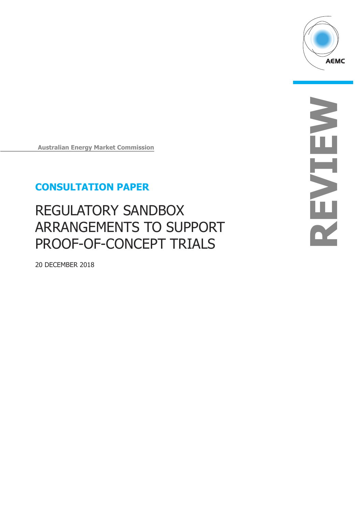

**Australian Energy Market Commission**

## **CONSULTATION PAPER**

# REGULATORY SANDBOX ARRANGEMENTS TO SUPPORT PROOF-OF-CONCEPT TRIALS

20 DECEMBER 2018

**REVIEW** NENEN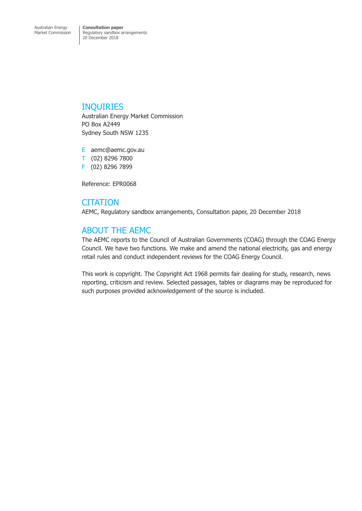### INQUIRIES

Australian Energy Market Commission PO Box A2449 Sydney South NSW 1235

E aemc@aemc.gov.au T (02) 8296 7800 F (02) 8296 7899

Reference: EPR0068

## **CITATION**

AEMC, Regulatory sandbox arrangements, Consultation paper, 20 December 2018

## ABOUT THE AEMC

The AEMC reports to the Council of Australian Governments (COAG) through the COAG Energy Council. We have two functions. We make and amend the national electricity, gas and energy retail rules and conduct independent reviews for the COAG Energy Council.

This work is copyright. The Copyright Act 1968 permits fair dealing for study, research, news reporting, criticism and review. Selected passages, tables or diagrams may be reproduced for such purposes provided acknowledgement of the source is included.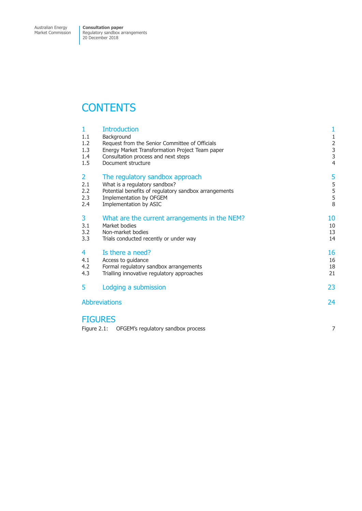Market Commission

Regulatory sandbox arrangements 20 December 2018

## **CONTENTS**

| 1<br>1.1<br>1.2<br>1.3<br>1.4<br>1.5       | <b>Introduction</b><br>Background<br>Request from the Senior Committee of Officials<br>Energy Market Transformation Project Team paper<br>Consultation process and next steps<br>Document structure | $\mathbf{1}$<br>$\begin{array}{c} 1 \\ 2 \\ 3 \\ 3 \end{array}$<br>4 |
|--------------------------------------------|-----------------------------------------------------------------------------------------------------------------------------------------------------------------------------------------------------|----------------------------------------------------------------------|
| $\overline{2}$<br>2.1<br>2.2<br>2.3<br>2.4 | The regulatory sandbox approach<br>What is a regulatory sandbox?<br>Potential benefits of regulatory sandbox arrangements<br>Implementation by OFGEM<br>Implementation by ASIC                      | 5<br>5<br>5<br>5<br>8                                                |
| 3<br>3.1<br>3.2<br>3.3                     | What are the current arrangements in the NEM?<br>Market bodies<br>Non-market bodies<br>Trials conducted recently or under way                                                                       | 10<br>10<br>13<br>14                                                 |
| 4<br>4.1<br>4.2<br>4.3                     | Is there a need?<br>Access to guidance<br>Formal regulatory sandbox arrangements<br>Trialling innovative regulatory approaches                                                                      | 16<br>16<br>18<br>21                                                 |
| 5                                          | Lodging a submission                                                                                                                                                                                | 23                                                                   |
| 24<br><b>Abbreviations</b>                 |                                                                                                                                                                                                     |                                                                      |

## [FIGURES](#page-25-0)

|  | Figure 2.1: OFGEM's regulatory sandbox process |  |
|--|------------------------------------------------|--|
|--|------------------------------------------------|--|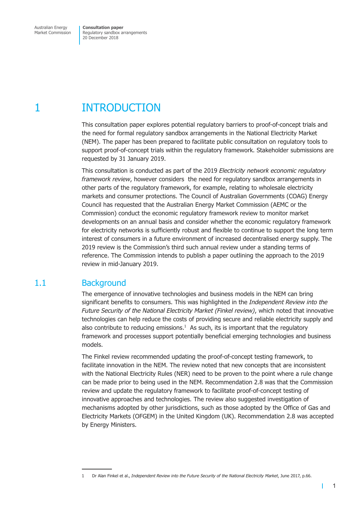## <span id="page-3-0"></span>1 INTRODUCTION

This consultation paper explores potential regulatory barriers to proof-of-concept trials and the need for formal regulatory sandbox arrangements in the National Electricity Market (NEM). The paper has been prepared to facilitate public consultation on regulatory tools to support proof-of-concept trials within the regulatory framework. Stakeholder submissions are requested by 31 January 2019.

This consultation is conducted as part of the 2019 *Electricity network economic regulatory framework review*, however considers the need for regulatory sandbox arrangements in other parts of the regulatory framework, for example, relating to wholesale electricity markets and consumer protections. The Council of Australian Governments (COAG) Energy Council has requested that the Australian Energy Market Commission (AEMC or the Commission) conduct the economic regulatory framework review to monitor market developments on an annual basis and consider whether the economic regulatory framework for electricity networks is sufficiently robust and flexible to continue to support the long term interest of consumers in a future environment of increased decentralised energy supply. The 2019 review is the Commission's third such annual review under a standing terms of reference. The Commission intends to publish a paper outlining the approach to the 2019 review in mid-January 2019.

## 1.1 Background

The emergence of innovative technologies and business models in the NEM can bring significant benefits to consumers. This was highlighted in the *Independent Review into the Future Security of the National Electricity Market (Finkel review)*, which noted that innovative technologies can help reduce the costs of providing secure and reliable electricity supply and also contribute to reducing emissions. $<sup>1</sup>$  As such, its is important that the regulatory</sup> framework and processes support potentially beneficial emerging technologies and business models.

The Finkel review recommended updating the proof-of-concept testing framework, to facilitate innovation in the NEM. The review noted that new concepts that are inconsistent with the National Electricity Rules (NER) need to be proven to the point where a rule change can be made prior to being used in the NEM. Recommendation 2.8 was that the Commission review and update the regulatory framework to facilitate proof-of-concept testing of innovative approaches and technologies. The review also suggested investigation of mechanisms adopted by other jurisdictions, such as those adopted by the Office of Gas and Electricity Markets (OFGEM) in the United Kingdom (UK). Recommendation 2.8 was accepted by Energy Ministers.

 $\mathbf{I}$ 

<sup>1</sup> Dr Alan Finkel et al., *Independent Review into the Future Security of the National Electricity Market*, June 2017, p.66.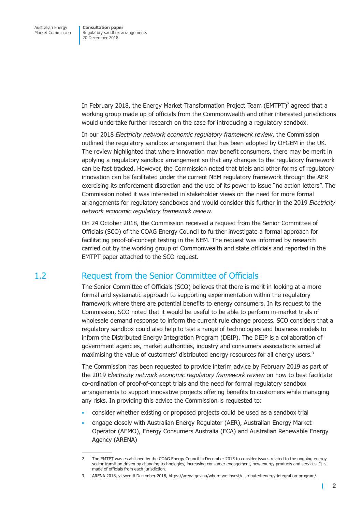<span id="page-4-0"></span>In February 2018, the Energy Market Transformation Project Team  $(EMTPT)^2$  agreed that a working group made up of officials from the Commonwealth and other interested jurisdictions would undertake further research on the case for introducing a regulatory sandbox.

In our 2018 *Electricity network economic regulatory framework review*, the Commission outlined the regulatory sandbox arrangement that has been adopted by OFGEM in the UK. The review highlighted that where innovation may benefit consumers, there may be merit in applying a regulatory sandbox arrangement so that any changes to the regulatory framework can be fast tracked. However, the Commission noted that trials and other forms of regulatory innovation can be facilitated under the current NEM regulatory framework through the AER exercising its enforcement discretion and the use of its power to issue "no action letters". The Commission noted it was interested in stakeholder views on the need for more formal arrangements for regulatory sandboxes and would consider this further in the 2019 *Electricity network economic regulatory framework review*.

On 24 October 2018, the Commission received a request from the Senior Committee of Officials (SCO) of the COAG Energy Council to further investigate a formal approach for facilitating proof-of-concept testing in the NEM. The request was informed by research carried out by the working group of Commonwealth and state officials and reported in the EMTPT paper attached to the SCO request.

## 1.2 Request from the Senior Committee of Officials

The Senior Committee of Officials (SCO) believes that there is merit in looking at a more formal and systematic approach to supporting experimentation within the regulatory framework where there are potential benefits to energy consumers. In its request to the Commission, SCO noted that it would be useful to be able to perform in-market trials of wholesale demand response to inform the current rule change process. SCO considers that a regulatory sandbox could also help to test a range of technologies and business models to inform the Distributed Energy Integration Program (DEIP). The DEIP is a collaboration of government agencies, market authorities, industry and consumers associations aimed at maximising the value of customers' distributed energy resources for all energy users.<sup>3</sup>

The Commission has been requested to provide interim advice by February 2019 as part of the 2019 *Electricity network economic regulatory framework review* on how to best facilitate co-ordination of proof-of-concept trials and the need for formal regulatory sandbox arrangements to support innovative projects offering benefits to customers while managing any risks. In providing this advice the Commission is requested to:

- consider whether existing or proposed projects could be used as a sandbox trial
- engage closely with Australian Energy Regulator (AER), Australian Energy Market Operator (AEMO), Energy Consumers Australia (ECA) and Australian Renewable Energy Agency (ARENA)

 $\mathbf{I}$ 

<sup>2</sup> The EMTPT was established by the COAG Energy Council in December 2015 to consider issues related to the ongoing energy sector transition driven by changing technologies, increasing consumer engagement, new energy products and services. It is made of officials from each jurisdiction.

<sup>3</sup> ARENA 2018, viewed 6 December 2018, https://arena.gov.au/where-we-invest/distributed-energy-integration-program/.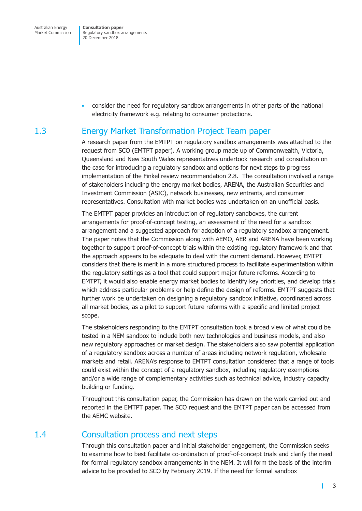<span id="page-5-0"></span>Australian Energy Market Commission

**Consultation paper**  Regulatory sandbox arrangements 20 December 2018

• consider the need for regulatory sandbox arrangements in other parts of the national electricity framework e.g. relating to consumer protections.

## 1.3 Energy Market Transformation Project Team paper

A research paper from the EMTPT on regulatory sandbox arrangements was attached to the request from SCO (EMTPT paper). A working group made up of Commonwealth, Victoria, Queensland and New South Wales representatives undertook research and consultation on the case for introducing a regulatory sandbox and options for next steps to progress implementation of the Finkel review recommendation 2.8. The consultation involved a range of stakeholders including the energy market bodies, ARENA, the Australian Securities and Investment Commission (ASIC), network businesses, new entrants, and consumer representatives. Consultation with market bodies was undertaken on an unofficial basis.

The EMTPT paper provides an introduction of regulatory sandboxes, the current arrangements for proof-of-concept testing, an assessment of the need for a sandbox arrangement and a suggested approach for adoption of a regulatory sandbox arrangement. The paper notes that the Commission along with AEMO, AER and ARENA have been working together to support proof-of-concept trials within the existing regulatory framework and that the approach appears to be adequate to deal with the current demand. However, EMTPT considers that there is merit in a more structured process to facilitate experimentation within the regulatory settings as a tool that could support major future reforms. According to EMTPT, it would also enable energy market bodies to identify key priorities, and develop trials which address particular problems or help define the design of reforms. EMTPT suggests that further work be undertaken on designing a regulatory sandbox initiative, coordinated across all market bodies, as a pilot to support future reforms with a specific and limited project scope.

The stakeholders responding to the EMTPT consultation took a broad view of what could be tested in a NEM sandbox to include both new technologies and business models, and also new regulatory approaches or market design. The stakeholders also saw potential application of a regulatory sandbox across a number of areas including network regulation, wholesale markets and retail. ARENA's response to EMTPT consultation considered that a range of tools could exist within the concept of a regulatory sandbox, including regulatory exemptions and/or a wide range of complementary activities such as technical advice, industry capacity building or funding.

Throughout this consultation paper, the Commission has drawn on the work carried out and reported in the EMTPT paper. The SCO request and the EMTPT paper can be accessed from the AEMC website.

## 1.4 Consultation process and next steps

Through this consultation paper and initial stakeholder engagement, the Commission seeks to examine how to best facilitate co-ordination of proof-of-concept trials and clarify the need for formal regulatory sandbox arrangements in the NEM. It will form the basis of the interim advice to be provided to SCO by February 2019. If the need for formal sandbox

г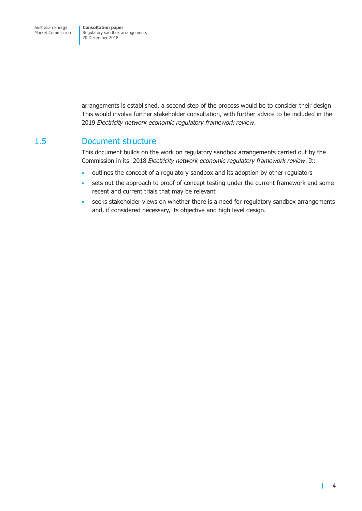<span id="page-6-0"></span>arrangements is established, a second step of the process would be to consider their design. This would involve further stakeholder consultation, with further advice to be included in the 2019 *Electricity network economic regulatory framework review*.

### 1.5 Document structure

This document builds on the work on regulatory sandbox arrangements carried out by the Commission in its 2018 *Electricity network economic regulatory framework review*. It:

- outlines the concept of a regulatory sandbox and its adoption by other regulators
- sets out the approach to proof-of-concept testing under the current framework and some recent and current trials that may be relevant
- seeks stakeholder views on whether there is a need for regulatory sandbox arrangements and, if considered necessary, its objective and high level design.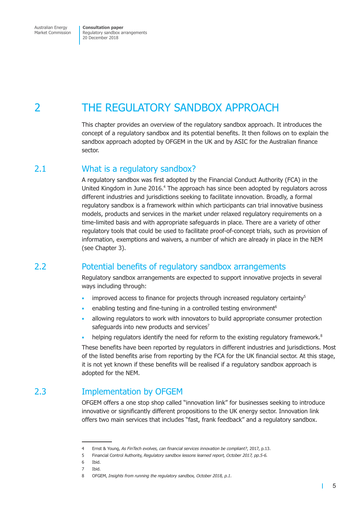<span id="page-7-0"></span>Australian Energy Market Commission

**Consultation paper**  Regulatory sandbox arrangements 20 December 2018

## 2 THE REGULATORY SANDBOX APPROACH

This chapter provides an overview of the regulatory sandbox approach. It introduces the concept of a regulatory sandbox and its potential benefits. It then follows on to explain the sandbox approach adopted by OFGEM in the UK and by ASIC for the Australian finance sector.

### 2.1 What is a regulatory sandbox?

A regulatory sandbox was first adopted by the Financial Conduct Authority (FCA) in the United Kingdom in June 2016.<sup>4</sup> The approach has since been adopted by regulators across different industries and jurisdictions seeking to facilitate innovation. Broadly, a formal regulatory sandbox is a framework within which participants can trial innovative business models, products and services in the market under relaxed regulatory requirements on a time-limited basis and with appropriate safeguards in place. There are a variety of other regulatory tools that could be used to facilitate proof-of-concept trials, such as provision of information, exemptions and waivers, a number of which are already in place in the NEM (see Chapter 3).

## 2.2 Potential benefits of regulatory sandbox arrangements

Regulatory sandbox arrangements are expected to support innovative projects in several ways including through:

- improved access to finance for projects through increased regulatory certainty $5$
- enabling testing and fine-tuning in a controlled testing environment<sup>6</sup>
- allowing regulators to work with innovators to build appropriate consumer protection safeguards into new products and services<sup>7</sup>
- helping regulators identify the need for reform to the existing regulatory framework.<sup>8</sup>

These benefits have been reported by regulators in different industries and jurisdictions. Most of the listed benefits arise from reporting by the FCA for the UK financial sector. At this stage, it is not yet known if these benefits will be realised if a regulatory sandbox approach is adopted for the NEM.

## 2.3 Implementation by OFGEM

OFGEM offers a one stop shop called "innovation link" for businesses seeking to introduce innovative or significantly different propositions to the UK energy sector. Innovation link offers two main services that includes "fast, frank feedback" and a regulatory sandbox.

т

<sup>4</sup> Ernst & Young, *As FinTech evolves, can financial services innovation be compliant?*, 2017, p.13.

<sup>5</sup> Financial Control Authority, *Regulatory sandbox lessons learned report, October 2017, pp.5-6.*

<sup>6</sup> Ibid.

<sup>7</sup> Ibid.

<sup>8</sup> OFGEM, *Insights from running the regulatory sandbox, October 2018, p.1.*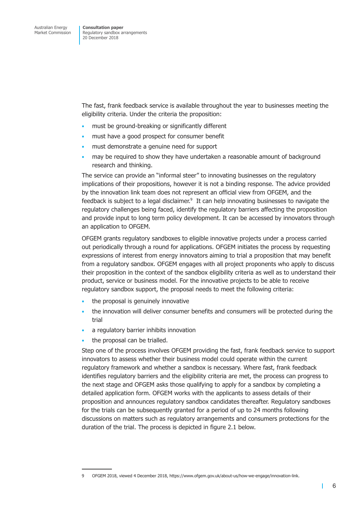The fast, frank feedback service is available throughout the year to businesses meeting the eligibility criteria. Under the criteria the proposition:

- must be ground-breaking or significantly different
- must have a good prospect for consumer benefit
- must demonstrate a genuine need for support
- may be required to show they have undertaken a reasonable amount of background research and thinking.

The service can provide an "informal steer" to innovating businesses on the regulatory implications of their propositions, however it is not a binding response. The advice provided by the innovation link team does not represent an official view from OFGEM, and the feedback is subject to a legal disclaimer.<sup>9</sup> It can help innovating businesses to navigate the regulatory challenges being faced, identify the regulatory barriers affecting the proposition and provide input to long term policy development. It can be accessed by innovators through an application to OFGEM.

OFGEM grants regulatory sandboxes to eligible innovative projects under a process carried out periodically through a round for applications. OFGEM initiates the process by requesting expressions of interest from energy innovators aiming to trial a proposition that may benefit from a regulatory sandbox. OFGEM engages with all project proponents who apply to discuss their proposition in the context of the sandbox eligibility criteria as well as to understand their product, service or business model. For the innovative projects to be able to receive regulatory sandbox support, the proposal needs to meet the following criteria:

- the proposal is genuinely innovative
- the innovation will deliver consumer benefits and consumers will be protected during the trial
- a regulatory barrier inhibits innovation
- the proposal can be trialled.

Step one of the process involves OFGEM providing the fast, frank feedback service to support innovators to assess whether their business model could operate within the current regulatory framework and whether a sandbox is necessary. Where fast, frank feedback identifies regulatory barriers and the eligibility criteria are met, the process can progress to the next stage and OFGEM asks those qualifying to apply for a sandbox by completing a detailed application form. OFGEM works with the applicants to assess details of their proposition and announces regulatory sandbox candidates thereafter. Regulatory sandboxes for the trials can be subsequently granted for a period of up to 24 months following discussions on matters such as regulatory arrangements and consumers protections for the duration of the trial. The process is depicted in figure 2.1 below.

T

<sup>9</sup> OFGEM 2018, viewed 4 December 2018, https://www.ofgem.gov.uk/about-us/how-we-engage/innovation-link.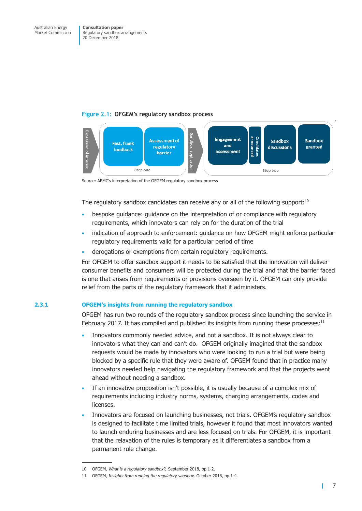#### **Figure 2.1: OFGEM's regulatory sandbox process**



Source: AEMC's interpretation of the OFGEM regulatory sandbox process

The regulatory sandbox candidates can receive any or all of the following support: $10$ 

- bespoke guidance: guidance on the interpretation of or compliance with regulatory requirements, which innovators can rely on for the duration of the trial
- indication of approach to enforcement: guidance on how OFGEM might enforce particular regulatory requirements valid for a particular period of time
- derogations or exemptions from certain regulatory requirements.

For OFGEM to offer sandbox support it needs to be satisfied that the innovation will deliver consumer benefits and consumers will be protected during the trial and that the barrier faced is one that arises from requirements or provisions overseen by it. OFGEM can only provide relief from the parts of the regulatory framework that it administers.

#### **2.3.1 OFGEM's insights from running the regulatory sandbox**

OFGEM has run two rounds of the regulatory sandbox process since launching the service in February 2017. It has compiled and published its insights from running these processes: $11$ 

- Innovators commonly needed advice, and not a sandbox. It is not always clear to innovators what they can and can't do. OFGEM originally imagined that the sandbox requests would be made by innovators who were looking to run a trial but were being blocked by a specific rule that they were aware of. OFGEM found that in practice many innovators needed help navigating the regulatory framework and that the projects went ahead without needing a sandbox.
- If an innovative proposition isn't possible, it is usually because of a complex mix of requirements including industry norms, systems, charging arrangements, codes and licenses.
- Innovators are focused on launching businesses, not trials. OFGEM's regulatory sandbox is designed to facilitate time limited trials, however it found that most innovators wanted to launch enduring businesses and are less focused on trials. For OFGEM, it is important that the relaxation of the rules is temporary as it differentiates a sandbox from a permanent rule change.

т

<sup>10</sup> OFGEM, *What is a regulatory sandbox?,* September 2018, pp.1-2.

<sup>11</sup> OFGEM, *Insights from running the regulatory sandbox,* October 2018, pp.1-4.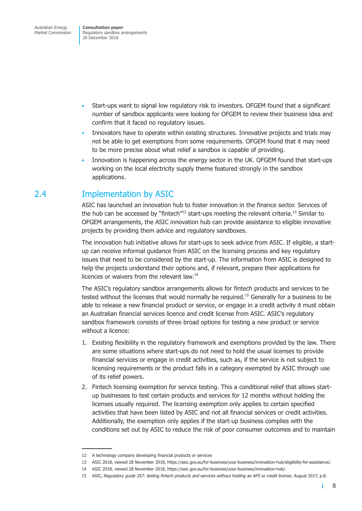<span id="page-10-0"></span>Australian Energy Market Commission

**Consultation paper**  Regulatory sandbox arrangements 20 December 2018

- Start-ups want to signal low regulatory risk to investors. OFGEM found that a significant number of sandbox applicants were looking for OFGEM to review their business idea and confirm that it faced no regulatory issues.
- Innovators have to operate within existing structures. Innovative projects and trials may not be able to get exemptions from some requirements. OFGEM found that it may need to be more precise about what relief a sandbox is capable of providing.
- Innovation is happening across the energy sector in the UK. OFGEM found that start-ups working on the local electricity supply theme featured strongly in the sandbox applications.

## 2.4 Implementation by ASIC

ASIC has launched an innovation hub to foster innovation in the finance sector. Services of the hub can be accessed by "fintech"<sup>12</sup> start-ups meeting the relevant criteria.<sup>13</sup> Similar to OFGEM arrangements, the ASIC innovation hub can provide assistance to eligible innovative projects by providing them advice and regulatory sandboxes.

The innovation hub initiative allows for start-ups to seek advice from ASIC. If eligible, a startup can receive informal guidance from ASIC on the licensing process and key regulatory issues that need to be considered by the start-up. The information from ASIC is designed to help the projects understand their options and, if relevant, prepare their applications for licences or waivers from the relevant law.14

The ASIC's regulatory sandbox arrangements allows for fintech products and services to be tested without the licenses that would normally be required.15 Generally for a business to be able to release a new financial product or service, or engage in a credit activity it must obtain an Australian financial services licence and credit license from ASIC. ASIC's regulatory sandbox framework consists of three broad options for testing a new product or service without a licence:

- 1. Existing flexibility in the regulatory framework and exemptions provided by the law. There are some situations where start-ups do not need to hold the usual licenses to provide financial services or engage in credit activities, such as, if the service is not subject to licensing requirements or the product falls in a category exempted by ASIC through use of its relief powers.
- 2. Fintech licensing exemption for service testing. This a conditional relief that allows startup businesses to test certain products and services for 12 months without holding the licenses usually required. The licensing exemption only applies to certain specified activities that have been listed by ASIC and not all financial services or credit activities. Additionally, the exemption only applies if the start-up business complies with the conditions set out by ASIC to reduce the risk of poor consumer outcomes and to maintain

T.

<sup>12</sup> A technology company developing financial products or services

<sup>13</sup> ASIC 2018, viewed 28 November 2018, https://asic.gov.au/for-business/your-business/innovation-hub/eligibility-for-assistance/.

<sup>14</sup> ASIC 2018, viewed 28 November 2018, https://asic.gov.au/for-business/your-business/innovation-hub/.

<sup>15</sup> ASIC, *Regulatory guide 257: testing fintech products and services without holding an AFS or credit license*, August 2017, p.8.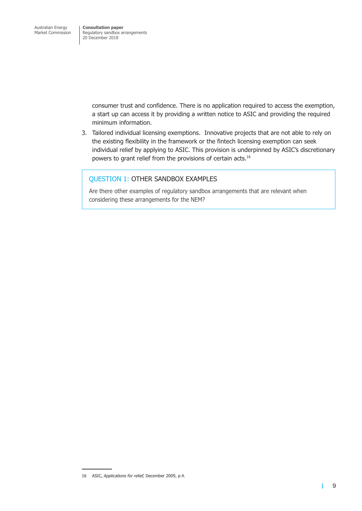> consumer trust and confidence. There is no application required to access the exemption, a start up can access it by providing a written notice to ASIC and providing the required minimum information.

3. Tailored individual licensing exemptions. Innovative projects that are not able to rely on the existing flexibility in the framework or the fintech licensing exemption can seek individual relief by applying to ASIC. This provision is underpinned by ASIC's discretionary powers to grant relief from the provisions of certain acts.16

### QUESTION 1: OTHER SANDBOX EXAMPLES

Are there other examples of regulatory sandbox arrangements that are relevant when considering these arrangements for the NEM?

т

<sup>16</sup> ASIC, *Applications for relief,* December 2009, p.4.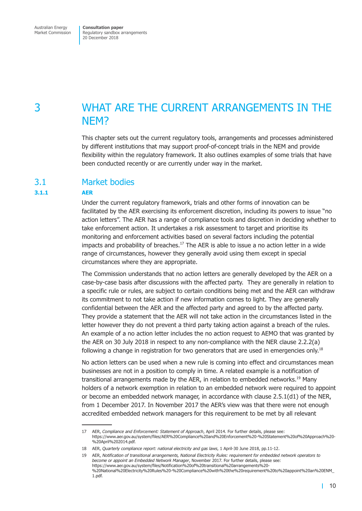## <span id="page-12-0"></span>3 WHAT ARE THE CURRENT ARRANGEMENTS IN THE NEM?

This chapter sets out the current regulatory tools, arrangements and processes administered by different institutions that may support proof-of-concept trials in the NEM and provide flexibility within the regulatory framework. It also outlines examples of some trials that have been conducted recently or are currently under way in the market.

### 3.1 Market bodies

#### **3.1.1 AER**

Under the current regulatory framework, trials and other forms of innovation can be facilitated by the AER exercising its enforcement discretion, including its powers to issue "no action letters". The AER has a range of compliance tools and discretion in deciding whether to take enforcement action. It undertakes a risk assessment to target and prioritise its monitoring and enforcement activities based on several factors including the potential impacts and probability of breaches. $17$  The AER is able to issue a no action letter in a wide range of circumstances, however they generally avoid using them except in special circumstances where they are appropriate.

The Commission understands that no action letters are generally developed by the AER on a case-by-case basis after discussions with the affected party. They are generally in relation to a specific rule or rules, are subject to certain conditions being met and the AER can withdraw its commitment to not take action if new information comes to light. They are generally confidential between the AER and the affected party and agreed to by the affected party. They provide a statement that the AER will not take action in the circumstances listed in the letter however they do not prevent a third party taking action against a breach of the rules. An example of a no action letter includes the no action request to AEMO that was granted by the AER on 30 July 2018 in respect to any non-compliance with the NER clause 2.2.2(a) following a change in registration for two generators that are used in emergencies only.<sup>18</sup>

No action letters can be used when a new rule is coming into effect and circumstances mean businesses are not in a position to comply in time. A related example is a notification of transitional arrangements made by the AER, in relation to embedded networks.<sup>19</sup> Manv holders of a network exemption in relation to an embedded network were required to appoint or become an embedded network manager, in accordance with clause 2.5.1(d1) of the NER, from 1 December 2017. In November 2017 the AER's view was that there were not enough accredited embedded network managers for this requirement to be met by all relevant

<sup>17</sup> AER, *Compliance and Enforcement: Statement of Approach*, April 2014. For further details, please see: https://www.aer.gov.au/system/files/AER%20Compliance%20and%20Enforcement%20-%20Statement%20of%20Approach%20- %20April%202014.pdf.

<sup>18</sup> AER, *Quarterly compliance report: national electricity and gas laws*, 1 April-30 June 2018, pp.11-12.

<sup>19</sup> AER, *Notification of transitional arrangements, National Electricity Rules: requirement for embedded network operators to become or appoint an Embedded Network Manager*, November 2017. For further details, please see: https://www.aer.gov.au/system/files/Notification%20of%20transitional%20arrangements%20- %20National%20Electricity%20Rules%20-%20Compliance%20with%20the%20requirement%20to%20appoint%20an%20ENM\_ 1.pdf.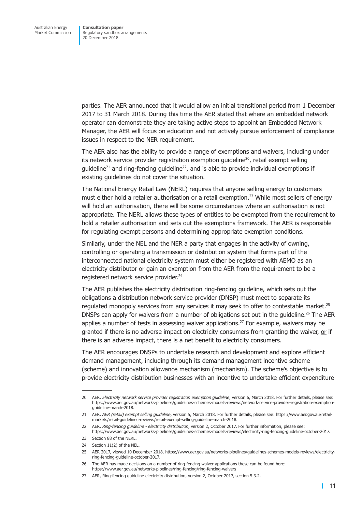parties. The AER announced that it would allow an initial transitional period from 1 December 2017 to 31 March 2018. During this time the AER stated that where an embedded network operator can demonstrate they are taking active steps to appoint an Embedded Network Manager, the AER will focus on education and not actively pursue enforcement of compliance issues in respect to the NER requirement.

The AER also has the ability to provide a range of exemptions and waivers, including under its network service provider registration exemption guideline<sup>20</sup>, retail exempt selling quideline<sup>21</sup> and ring-fencing quideline<sup>22</sup>, and is able to provide individual exemptions if existing guidelines do not cover the situation.

The National Energy Retail Law (NERL) requires that anyone selling energy to customers must either hold a retailer authorisation or a retail exemption.<sup>23</sup> While most sellers of energy will hold an authorisation, there will be some circumstances where an authorisation is not appropriate. The NERL allows these types of entities to be exempted from the requirement to hold a retailer authorisation and sets out the exemptions framework. The AER is responsible for regulating exempt persons and determining appropriate exemption conditions.

Similarly, under the NEL and the NER a party that engages in the activity of owning, controlling or operating a transmission or distribution system that forms part of the interconnected national electricity system must either be registered with AEMO as an electricity distributor or gain an exemption from the AER from the requirement to be a registered network service provider.<sup>24</sup>

The AER publishes the electricity distribution ring-fencing guideline, which sets out the obligations a distribution network service provider (DNSP) must meet to separate its regulated monopoly services from any services it may seek to offer to contestable market.<sup>25</sup> DNSPs can apply for waivers from a number of obligations set out in the quideline.<sup>26</sup> The AER applies a number of tests in assessing waiver applications.<sup>27</sup> For example, waivers may be granted if there is no adverse impact on electricity consumers from granting the waiver, or if there is an adverse impact, there is a net benefit to electricity consumers.

The AER encourages DNSPs to undertake research and development and explore efficient demand management, including through its demand management incentive scheme (scheme) and innovation allowance mechanism (mechanism). The scheme's objective is to provide electricity distribution businesses with an incentive to undertake efficient expenditure

<sup>20</sup> AER, *Electricity network service provider registration exemption guideline*, version 6, March 2018. For further details, please see: https://www.aer.gov.au/networks-pipelines/guidelines-schemes-models-reviews/network-service-provider-registration-exemptionguideline-march-2018.

<sup>21</sup> AER, *AER (retail) exempt selling guideline*, version 5, March 2018. For further details, please see: https://www.aer.gov.au/retailmarkets/retail-guidelines-reviews/retail-exempt-selling-guideline-march-2018.

<sup>22</sup> AER, *Ring-fencing guideline - electricity distribution*, version 2, October 2017. For further information, please see: https://www.aer.gov.au/networks-pipelines/guidelines-schemes-models-reviews/electricity-ring-fencing-guideline-october-2017.

<sup>23</sup> Section 88 of the NERL.

<sup>24</sup> Section 11(2) of the NEL.

<sup>25</sup> AER 2017, viewed 10 December 2018, https://www.aer.gov.au/networks-pipelines/guidelines-schemes-models-reviews/electricityring-fencing-guideline-october-2017.

<sup>26</sup> The AER has made decisions on a number of ring-fencing waiver applications these can be found here: https://www.aer.gov.au/networks-pipelines/ring-fencing/ring-fencing-waivers

<sup>27</sup> AER, Ring-fencing guideline electricity distribution, version 2, October 2017, section 5.3.2.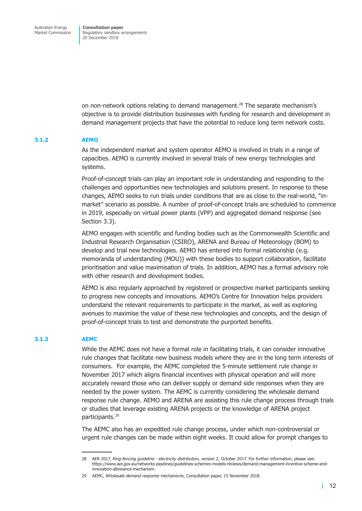on non-network options relating to demand management.28 The separate mechanism's objective is to provide distribution businesses with funding for research and development in demand management projects that have the potential to reduce long term network costs.

#### **3.1.2 AEMO**

As the independent market and system operator AEMO is involved in trials in a range of capacities. AEMO is currently involved in several trials of new energy technologies and systems.

Proof-of-concept trials can play an important role in understanding and responding to the challenges and opportunities new technologies and solutions present. In response to these changes, AEMO seeks to run trials under conditions that are as close to the real-world, "inmarket" scenario as possible. A number of proof-of-concept trials are scheduled to commence in 2019, especially on virtual power plants (VPP) and aggregated demand response (see Section 3.3).

AEMO engages with scientific and funding bodies such as the Commonwealth Scientific and Industrial Research Organisation (CSIRO), ARENA and Bureau of Meteorology (BOM) to develop and trial new technologies. AEMO has entered into formal relationship (e.g. memoranda of understanding (MOU)) with these bodies to support collaboration, facilitate prioritisation and value maximisation of trials. In addition, AEMO has a formal advisory role with other research and development bodies.

AEMO is also regularly approached by registered or prospective market participants seeking to progress new concepts and innovations. AEMO's Centre for Innovation helps providers understand the relevant requirements to participate in the market, as well as exploring avenues to maximise the value of these new technologies and concepts, and the design of proof-of-concept trials to test and demonstrate the purported benefits.

#### **3.1.3 AEMC**

While the AEMC does not have a formal role in facilitating trials, it can consider innovative rule changes that facilitate new business models where they are in the long term interests of consumers. For example, the AEMC completed the 5-minute settlement rule change in November 2017 which aligns financial incentives with physical operation and will more accurately reward those who can deliver supply or demand side responses when they are needed by the power system. The AEMC is currently considering the wholesale demand response rule change. AEMO and ARENA are assisting this rule change process through trials or studies that leverage existing ARENA projects or the knowledge of ARENA project participants.<sup>29</sup>

The AEMC also has an expedited rule change process, under which non-controversial or urgent rule changes can be made within eight weeks. It could allow for prompt changes to

<sup>28</sup> AER 2017, *Ring-fencing guideline - electricity distribution,* version 2, October 2017. For further information, please see: https://www.aer.gov.au/networks-pipelines/guidelines-schemes-models-reviews/demand-management-incentive-scheme-andinnovation-allowance-mechanism.

<sup>29</sup> AEMC, *Wholesale demand response mechanisms*, Consultation paper, 15 November 2018.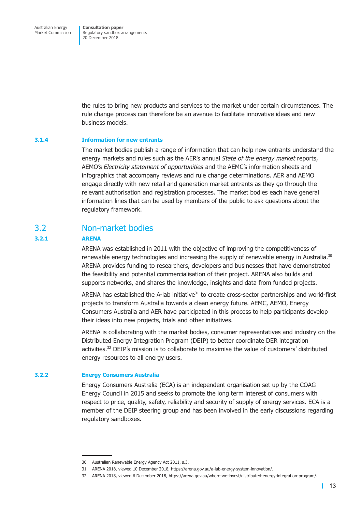<span id="page-15-0"></span>the rules to bring new products and services to the market under certain circumstances. The rule change process can therefore be an avenue to facilitate innovative ideas and new business models.

#### **3.1.4 Information for new entrants**

The market bodies publish a range of information that can help new entrants understand the energy markets and rules such as the AER's annual *State of the energy market* reports, AEMO's *Electricity statement of opportunities* and the AEMC's information sheets and infographics that accompany reviews and rule change determinations. AER and AEMO engage directly with new retail and generation market entrants as they go through the relevant authorisation and registration processes. The market bodies each have general information lines that can be used by members of the public to ask questions about the regulatory framework.

### 3.2 Non-market bodies

#### **3.2.1 ARENA**

ARENA was established in 2011 with the objective of improving the competitiveness of renewable energy technologies and increasing the supply of renewable energy in Australia.<sup>30</sup> ARENA provides funding to researchers, developers and businesses that have demonstrated the feasibility and potential commercialisation of their project. ARENA also builds and supports networks, and shares the knowledge, insights and data from funded projects.

ARENA has established the A-lab initiative $31$  to create cross-sector partnerships and world-first projects to transform Australia towards a clean energy future. AEMC, AEMO, Energy Consumers Australia and AER have participated in this process to help participants develop their ideas into new projects, trials and other initiatives.

ARENA is collaborating with the market bodies, consumer representatives and industry on the Distributed Energy Integration Program (DEIP) to better coordinate DER integration activities.32 DEIP's mission is to collaborate to maximise the value of customers' distributed energy resources to all energy users.

#### **3.2.2 Energy Consumers Australia**

Energy Consumers Australia (ECA) is an independent organisation set up by the COAG Energy Council in 2015 and seeks to promote the long term interest of consumers with respect to price, quality, safety, reliability and security of supply of energy services. ECA is a member of the DEIP steering group and has been involved in the early discussions regarding regulatory sandboxes.

<sup>30</sup> Australian Renewable Energy Agency Act 2011, s.3.

<sup>31</sup> ARENA 2018, viewed 10 December 2018, https://arena.gov.au/a-lab-energy-system-innovation/.

<sup>32</sup> ARENA 2018, viewed 6 December 2018, https://arena.gov.au/where-we-invest/distributed-energy-integration-program/.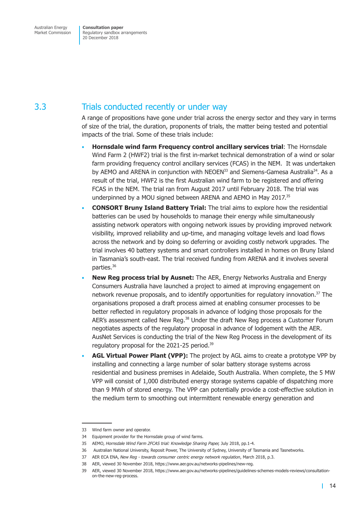## <span id="page-16-0"></span>3.3 Trials conducted recently or under way

A range of propositions have gone under trial across the energy sector and they vary in terms of size of the trial, the duration, proponents of trials, the matter being tested and potential impacts of the trial. Some of these trials include:

- **Hornsdale wind farm Frequency control ancillary services trial**: The Hornsdale Wind Farm 2 (HWF2) trial is the first in-market technical demonstration of a wind or solar farm providing frequency control ancillary services (FCAS) in the NEM. It was undertaken by AEMO and ARENA in conjunction with NEOEN<sup>33</sup> and Siemens-Gamesa Australia<sup>34</sup>. As a result of the trial, HWF2 is the first Australian wind farm to be registered and offering FCAS in the NEM. The trial ran from August 2017 until February 2018. The trial was underpinned by a MOU signed between ARENA and AEMO in May 2017.<sup>35</sup>
- **CONSORT Bruny Island Battery Trial:** The trial aims to explore how the residential batteries can be used by households to manage their energy while simultaneously assisting network operators with ongoing network issues by providing improved network visibility, improved reliability and up-time, and managing voltage levels and load flows across the network and by doing so deferring or avoiding costly network upgrades. The trial involves 40 battery systems and smart controllers installed in homes on Bruny Island in Tasmania's south-east. The trial received funding from ARENA and it involves several parties.<sup>36</sup>
- **New Reg process trial by Ausnet:** The AER, Energy Networks Australia and Energy Consumers Australia have launched a project to aimed at improving engagement on network revenue proposals, and to identify opportunities for regulatory innovation.<sup>37</sup> The organisations proposed a draft process aimed at enabling consumer processes to be better reflected in regulatory proposals in advance of lodging those proposals for the AER's assessment called New Reg.<sup>38</sup> Under the draft New Reg process a Customer Forum negotiates aspects of the regulatory proposal in advance of lodgement with the AER. AusNet Services is conducting the trial of the New Reg Process in the development of its regulatory proposal for the 2021-25 period.39
- **AGL Virtual Power Plant (VPP):** The project by AGL aims to create a prototype VPP by installing and connecting a large number of solar battery storage systems across residential and business premises in Adelaide, South Australia. When complete, the 5 MW VPP will consist of 1,000 distributed energy storage systems capable of dispatching more than 9 MWh of stored energy. The VPP can potentially provide a cost-effective solution in the medium term to smoothing out intermittent renewable energy generation and

<sup>33</sup> Wind farm owner and operator.

<sup>34</sup> Equipment provider for the Hornsdale group of wind farms.

<sup>35</sup> AEMO, *Hornsdale Wind Farm 2FCAS trial: Knowledge Sharing Paper,* July 2018, pp.1-4.

<sup>36</sup> Australian National University, Reposit Power, The University of Sydney, University of Tasmania and Tasnetworks.

<sup>37</sup> AER ECA ENA, *New Reg - towards consumer centric energy network regulation*, March 2018, p.3.

<sup>38</sup> AER, viewed 30 November 2018, https://www.aer.gov.au/networks-pipelines/new-reg.

<sup>39</sup> AER, viewed 30 November 2018, https://www.aer.gov.au/networks-pipelines/guidelines-schemes-models-reviews/consultationon-the-new-reg-process.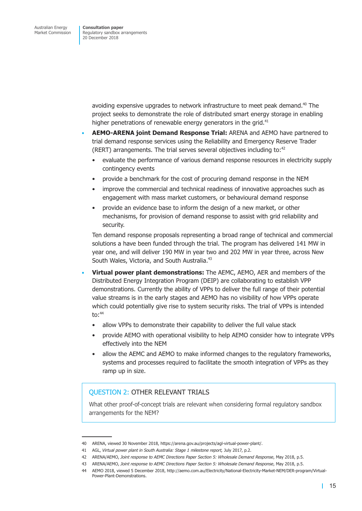> avoiding expensive upgrades to network infrastructure to meet peak demand.<sup>40</sup> The project seeks to demonstrate the role of distributed smart energy storage in enabling higher penetrations of renewable energy generators in the grid.<sup>41</sup>

- **AEMO-ARENA joint Demand Response Trial:** ARENA and AEMO have partnered to trial demand response services using the Reliability and Emergency Reserve Trader (RERT) arrangements. The trial serves several objectives including to:42
	- evaluate the performance of various demand response resources in electricity supply contingency events
	- provide a benchmark for the cost of procuring demand response in the NEM
	- improve the commercial and technical readiness of innovative approaches such as engagement with mass market customers, or behavioural demand response
	- provide an evidence base to inform the design of a new market, or other mechanisms, for provision of demand response to assist with grid reliability and security.

Ten demand response proposals representing a broad range of technical and commercial solutions a have been funded through the trial. The program has delivered 141 MW in year one, and will deliver 190 MW in year two and 202 MW in year three, across New South Wales, Victoria, and South Australia.<sup>43</sup>

- **Virtual power plant demonstrations:** The AEMC, AEMO, AER and members of the Distributed Energy Integration Program (DEIP) are collaborating to establish VPP demonstrations. Currently the ability of VPPs to deliver the full range of their potential value streams is in the early stages and AEMO has no visibility of how VPPs operate which could potentially give rise to system security risks. The trial of VPPs is intended  $\text{to:}^{44}$ 
	- allow VPPs to demonstrate their capability to deliver the full value stack
	- provide AEMO with operational visibility to help AEMO consider how to integrate VPPs effectively into the NEM
	- allow the AEMC and AEMO to make informed changes to the regulatory frameworks, systems and processes required to facilitate the smooth integration of VPPs as they ramp up in size.

### QUESTION 2: OTHER RELEVANT TRIALS

What other proof-of-concept trials are relevant when considering formal regulatory sandbox arrangements for the NEM?

<sup>40</sup> ARENA, viewed 30 November 2018, https://arena.gov.au/projects/agl-virtual-power-plant/.

<sup>41</sup> AGL, *Virtual power plant in South Australia: Stage 1 milestone report,* July 2017, p.2.

<sup>42</sup> ARENA/AEMO, *Joint response to AEMC Directions Paper Section 5: Wholesale Demand Response*, May 2018, p.5.

<sup>43</sup> ARENA/AEMO, *Joint response to AEMC Directions Paper Section 5: Wholesale Demand Response*, May 2018, p.5.

<sup>44</sup> AEMO 2018, viewed 5 December 2018, http://aemo.com.au/Electricity/National-Electricity-Market-NEM/DER-program/Virtual-Power-Plant-Demonstrations.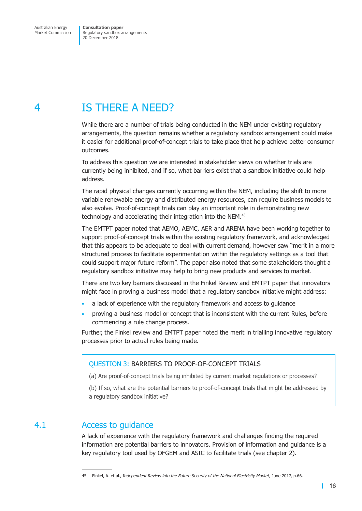# <span id="page-18-0"></span>4 IS THERE A NEED?

While there are a number of trials being conducted in the NEM under existing regulatory arrangements, the question remains whether a regulatory sandbox arrangement could make it easier for additional proof-of-concept trials to take place that help achieve better consumer outcomes.

To address this question we are interested in stakeholder views on whether trials are currently being inhibited, and if so, what barriers exist that a sandbox initiative could help address.

The rapid physical changes currently occurring within the NEM, including the shift to more variable renewable energy and distributed energy resources, can require business models to also evolve. Proof-of-concept trials can play an important role in demonstrating new technology and accelerating their integration into the NEM.<sup>45</sup>

The EMTPT paper noted that AEMO, AEMC, AER and ARENA have been working together to support proof-of-concept trials within the existing regulatory framework, and acknowledged that this appears to be adequate to deal with current demand, however saw "merit in a more structured process to facilitate experimentation within the regulatory settings as a tool that could support major future reform". The paper also noted that some stakeholders thought a regulatory sandbox initiative may help to bring new products and services to market.

There are two key barriers discussed in the Finkel Review and EMTPT paper that innovators might face in proving a business model that a regulatory sandbox initiative might address:

- a lack of experience with the regulatory framework and access to guidance
- proving a business model or concept that is inconsistent with the current Rules, before commencing a rule change process.

Further, the Finkel review and EMTPT paper noted the merit in trialling innovative regulatory processes prior to actual rules being made.

#### QUESTION 3: BARRIERS TO PROOF-OF-CONCEPT TRIALS

(a) Are proof-of-concept trials being inhibited by current market regulations or processes?

(b) If so, what are the potential barriers to proof-of-concept trials that might be addressed by a regulatory sandbox initiative?

## 4.1 Access to guidance

A lack of experience with the regulatory framework and challenges finding the required information are potential barriers to innovators. Provision of information and guidance is a key regulatory tool used by OFGEM and ASIC to facilitate trials (see chapter 2).

<sup>45</sup> Finkel, A. et al., *Independent Review into the Future Security of the National Electricity Market*, June 2017, p.66.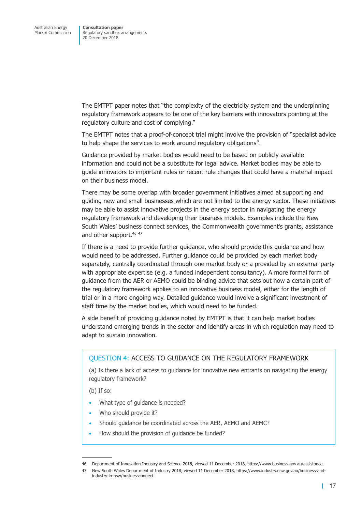The EMTPT paper notes that "the complexity of the electricity system and the underpinning regulatory framework appears to be one of the key barriers with innovators pointing at the regulatory culture and cost of complying."

The EMTPT notes that a proof-of-concept trial might involve the provision of "specialist advice to help shape the services to work around regulatory obligations".

Guidance provided by market bodies would need to be based on publicly available information and could not be a substitute for legal advice. Market bodies may be able to guide innovators to important rules or recent rule changes that could have a material impact on their business model.

There may be some overlap with broader government initiatives aimed at supporting and guiding new and small businesses which are not limited to the energy sector. These initiatives may be able to assist innovative projects in the energy sector in navigating the energy regulatory framework and developing their business models. Examples include the New South Wales' business connect services, the Commonwealth government's grants, assistance and other support.<sup>46 47</sup>

If there is a need to provide further guidance, who should provide this guidance and how would need to be addressed. Further guidance could be provided by each market body separately, centrally coordinated through one market body or a provided by an external party with appropriate expertise (e.g. a funded independent consultancy). A more formal form of guidance from the AER or AEMO could be binding advice that sets out how a certain part of the regulatory framework applies to an innovative business model, either for the length of trial or in a more ongoing way. Detailed guidance would involve a significant investment of staff time by the market bodies, which would need to be funded.

A side benefit of providing guidance noted by EMTPT is that it can help market bodies understand emerging trends in the sector and identify areas in which regulation may need to adapt to sustain innovation.

#### QUESTION 4: ACCESS TO GUIDANCE ON THE REGULATORY FRAMEWORK

(a) Is there a lack of access to guidance for innovative new entrants on navigating the energy regulatory framework?

(b) If so:

- What type of quidance is needed?
- Who should provide it?
- Should guidance be coordinated across the AER, AEMO and AEMC?
- How should the provision of quidance be funded?

<sup>46</sup> Department of Innovation Industry and Science 2018, viewed 11 December 2018, https://www.business.gov.au/assistance.

<sup>47</sup> New South Wales Department of Industry 2018, viewed 11 December 2018, https://www.industry.nsw.gov.au/business-andindustry-in-nsw/businessconnect.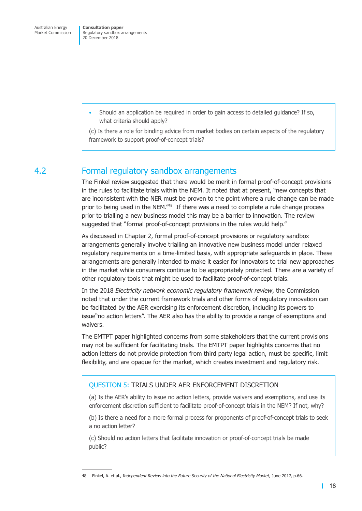<span id="page-20-0"></span>• Should an application be required in order to gain access to detailed guidance? If so, what criteria should apply?

(c) Is there a role for binding advice from market bodies on certain aspects of the regulatory framework to support proof-of-concept trials?

## 4.2 Formal regulatory sandbox arrangements

The Finkel review suggested that there would be merit in formal proof-of-concept provisions in the rules to facilitate trials within the NEM. It noted that at present, "new concepts that are inconsistent with the NER must be proven to the point where a rule change can be made prior to being used in the NEM."<sup>48</sup> If there was a need to complete a rule change process prior to trialling a new business model this may be a barrier to innovation. The review suggested that "formal proof-of-concept provisions in the rules would help."

As discussed in Chapter 2, formal proof-of-concept provisions or regulatory sandbox arrangements generally involve trialling an innovative new business model under relaxed regulatory requirements on a time-limited basis, with appropriate safeguards in place. These arrangements are generally intended to make it easier for innovators to trial new approaches in the market while consumers continue to be appropriately protected. There are a variety of other regulatory tools that might be used to facilitate proof-of-concept trials.

In the 2018 *Electricity network economic regulatory framework review*, the Commission noted that under the current framework trials and other forms of regulatory innovation can be facilitated by the AER exercising its enforcement discretion, including its powers to issue"no action letters". The AER also has the ability to provide a range of exemptions and waivers.

The EMTPT paper highlighted concerns from some stakeholders that the current provisions may not be sufficient for facilitating trials. The EMTPT paper highlights concerns that no action letters do not provide protection from third party legal action, must be specific, limit flexibility, and are opaque for the market, which creates investment and regulatory risk.

#### QUESTION 5: TRIALS UNDER AER ENFORCEMENT DISCRETION

(a) Is the AER's ability to issue no action letters, provide waivers and exemptions, and use its enforcement discretion sufficient to facilitate proof-of-concept trials in the NEM? If not, why?

(b) Is there a need for a more formal process for proponents of proof-of-concept trials to seek a no action letter?

(c) Should no action letters that facilitate innovation or proof-of-concept trials be made public?

<sup>48</sup> Finkel, A. et al., *Independent Review into the Future Security of the National Electricity Market*, June 2017, p.66.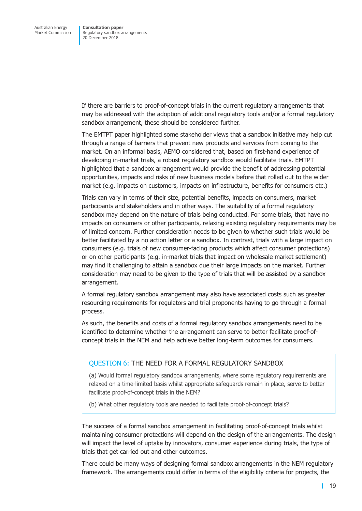If there are barriers to proof-of-concept trials in the current regulatory arrangements that may be addressed with the adoption of additional regulatory tools and/or a formal regulatory sandbox arrangement, these should be considered further.

The EMTPT paper highlighted some stakeholder views that a sandbox initiative may help cut through a range of barriers that prevent new products and services from coming to the market. On an informal basis, AEMO considered that, based on first-hand experience of developing in-market trials, a robust regulatory sandbox would facilitate trials. EMTPT highlighted that a sandbox arrangement would provide the benefit of addressing potential opportunities, impacts and risks of new business models before that rolled out to the wider market (e.g. impacts on customers, impacts on infrastructure, benefits for consumers etc.)

Trials can vary in terms of their size, potential benefits, impacts on consumers, market participants and stakeholders and in other ways. The suitability of a formal regulatory sandbox may depend on the nature of trials being conducted. For some trials, that have no impacts on consumers or other participants, relaxing existing regulatory requirements may be of limited concern. Further consideration needs to be given to whether such trials would be better facilitated by a no action letter or a sandbox. In contrast, trials with a large impact on consumers (e.g. trials of new consumer-facing products which affect consumer protections) or on other participants (e.g. in-market trials that impact on wholesale market settlement) may find it challenging to attain a sandbox due their large impacts on the market. Further consideration may need to be given to the type of trials that will be assisted by a sandbox arrangement.

A formal regulatory sandbox arrangement may also have associated costs such as greater resourcing requirements for regulators and trial proponents having to go through a formal process.

As such, the benefits and costs of a formal regulatory sandbox arrangements need to be identified to determine whether the arrangement can serve to better facilitate proof-ofconcept trials in the NEM and help achieve better long-term outcomes for consumers.

#### QUESTION 6: THE NEED FOR A FORMAL REGULATORY SANDBOX

(a) Would formal regulatory sandbox arrangements, where some regulatory requirements are relaxed on a time-limited basis whilst appropriate safeguards remain in place, serve to better facilitate proof-of-concept trials in the NEM?

(b) What other regulatory tools are needed to facilitate proof-of-concept trials?

The success of a formal sandbox arrangement in facilitating proof-of-concept trials whilst maintaining consumer protections will depend on the design of the arrangements. The design will impact the level of uptake by innovators, consumer experience during trials, the type of trials that get carried out and other outcomes.

There could be many ways of designing formal sandbox arrangements in the NEM regulatory framework. The arrangements could differ in terms of the eligibility criteria for projects, the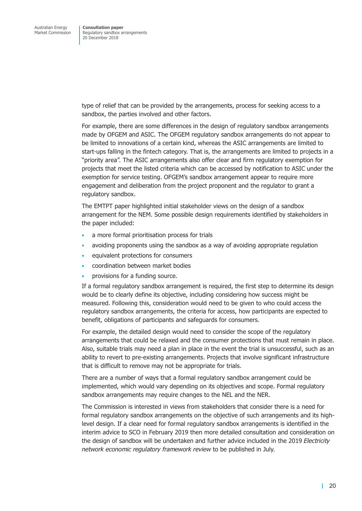type of relief that can be provided by the arrangements, process for seeking access to a sandbox, the parties involved and other factors.

For example, there are some differences in the design of regulatory sandbox arrangements made by OFGEM and ASIC. The OFGEM regulatory sandbox arrangements do not appear to be limited to innovations of a certain kind, whereas the ASIC arrangements are limited to start-ups falling in the fintech category. That is, the arrangements are limited to projects in a "priority area". The ASIC arrangements also offer clear and firm regulatory exemption for projects that meet the listed criteria which can be accessed by notification to ASIC under the exemption for service testing. OFGEM's sandbox arrangement appear to require more engagement and deliberation from the project proponent and the regulator to grant a regulatory sandbox.

The EMTPT paper highlighted initial stakeholder views on the design of a sandbox arrangement for the NEM. Some possible design requirements identified by stakeholders in the paper included:

- a more formal prioritisation process for trials
- avoiding proponents using the sandbox as a way of avoiding appropriate regulation
- equivalent protections for consumers
- coordination between market bodies
- provisions for a funding source.

If a formal regulatory sandbox arrangement is required, the first step to determine its design would be to clearly define its objective, including considering how success might be measured. Following this, consideration would need to be given to who could access the regulatory sandbox arrangements, the criteria for access, how participants are expected to benefit, obligations of participants and safeguards for consumers.

For example, the detailed design would need to consider the scope of the regulatory arrangements that could be relaxed and the consumer protections that must remain in place. Also, suitable trials may need a plan in place in the event the trial is unsuccessful, such as an ability to revert to pre-existing arrangements. Projects that involve significant infrastructure that is difficult to remove may not be appropriate for trials.

There are a number of ways that a formal regulatory sandbox arrangement could be implemented, which would vary depending on its objectives and scope. Formal regulatory sandbox arrangements may require changes to the NEL and the NER.

The Commission is interested in views from stakeholders that consider there is a need for formal regulatory sandbox arrangements on the objective of such arrangements and its highlevel design. If a clear need for formal regulatory sandbox arrangements is identified in the interim advice to SCO in February 2019 then more detailed consultation and consideration on the design of sandbox will be undertaken and further advice included in the 2019 *Electricity network economic regulatory framework review* to be published in July.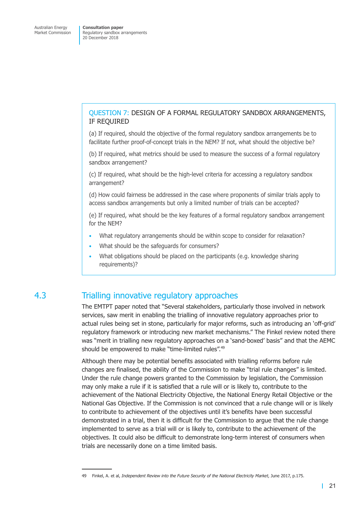#### <span id="page-23-0"></span>QUESTION 7: DESIGN OF A FORMAL REGULATORY SANDBOX ARRANGEMENTS, IF REQUIRED

(a) If required, should the objective of the formal regulatory sandbox arrangements be to facilitate further proof-of-concept trials in the NEM? If not, what should the objective be?

(b) If required, what metrics should be used to measure the success of a formal regulatory sandbox arrangement?

(c) If required, what should be the high-level criteria for accessing a regulatory sandbox arrangement?

(d) How could fairness be addressed in the case where proponents of similar trials apply to access sandbox arrangements but only a limited number of trials can be accepted?

(e) If required, what should be the key features of a formal regulatory sandbox arrangement for the NEM?

- What regulatory arrangements should be within scope to consider for relaxation?
- What should be the safeguards for consumers?
- What obligations should be placed on the participants (e.g. knowledge sharing requirements)?

## 4.3 Trialling innovative regulatory approaches

The EMTPT paper noted that "Several stakeholders, particularly those involved in network services, saw merit in enabling the trialling of innovative regulatory approaches prior to actual rules being set in stone, particularly for major reforms, such as introducing an 'off-grid' regulatory framework or introducing new market mechanisms." The Finkel review noted there was "merit in trialling new regulatory approaches on a 'sand-boxed' basis" and that the AEMC should be empowered to make "time-limited rules".<sup>49</sup>

Although there may be potential benefits associated with trialling reforms before rule changes are finalised, the ability of the Commission to make "trial rule changes" is limited. Under the rule change powers granted to the Commission by legislation, the Commission may only make a rule if it is satisfied that a rule will or is likely to, contribute to the achievement of the National Electricity Objective, the National Energy Retail Objective or the National Gas Objective. If the Commission is not convinced that a rule change will or is likely to contribute to achievement of the objectives until it's benefits have been successful demonstrated in a trial, then it is difficult for the Commission to argue that the rule change implemented to serve as a trial will or is likely to, contribute to the achievement of the objectives. It could also be difficult to demonstrate long-term interest of consumers when trials are necessarily done on a time limited basis.

<sup>49</sup> Finkel, A. et al, *Independent Review into the Future Security of the National Electricity Market*, June 2017, p.175.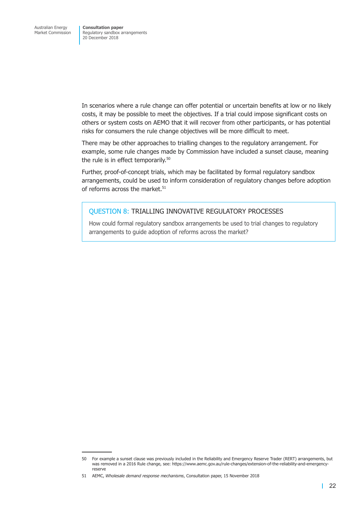In scenarios where a rule change can offer potential or uncertain benefits at low or no likely costs, it may be possible to meet the objectives. If a trial could impose significant costs on others or system costs on AEMO that it will recover from other participants, or has potential risks for consumers the rule change objectives will be more difficult to meet.

There may be other approaches to trialling changes to the regulatory arrangement. For example, some rule changes made by Commission have included a sunset clause, meaning the rule is in effect temporarily.<sup>50</sup>

Further, proof-of-concept trials, which may be facilitated by formal regulatory sandbox arrangements, could be used to inform consideration of regulatory changes before adoption of reforms across the market. $51$ 

#### QUESTION 8: TRIALLING INNOVATIVE REGULATORY PROCESSES

How could formal regulatory sandbox arrangements be used to trial changes to regulatory arrangements to guide adoption of reforms across the market?

<sup>50</sup> For example a sunset clause was previously included in the Reliability and Emergency Reserve Trader (RERT) arrangements, but was removed in a 2016 Rule change, see: https://www.aemc.gov.au/rule-changes/extension-of-the-reliability-and-emergencyreserve

<sup>51</sup> AEMC, *Wholesale demand response mechanisms*, Consultation paper, 15 November 2018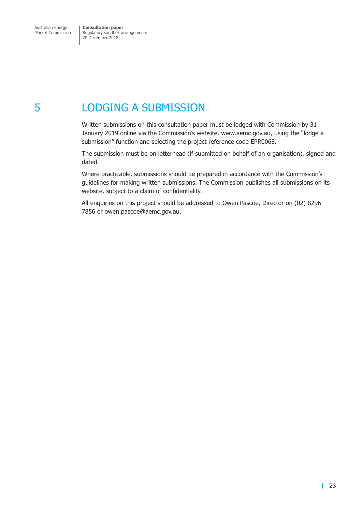# <span id="page-25-0"></span>5 LODGING A SUBMISSION

Written submissions on this consultation paper must be lodged with Commission by 31 January 2019 online via the Commission's website, www.aemc.gov.au, using the "lodge a submission" function and selecting the project reference code EPR0068.

The submission must be on letterhead (if submitted on behalf of an organisation), signed and dated.

Where practicable, submissions should be prepared in accordance with the Commission's guidelines for making written submissions. The Commission publishes all submissions on its website, subject to a claim of confidentiality.

All enquiries on this project should be addressed to Owen Pascoe, Director on (02) 8296 7856 or owen.pascoe@aemc.gov.au.